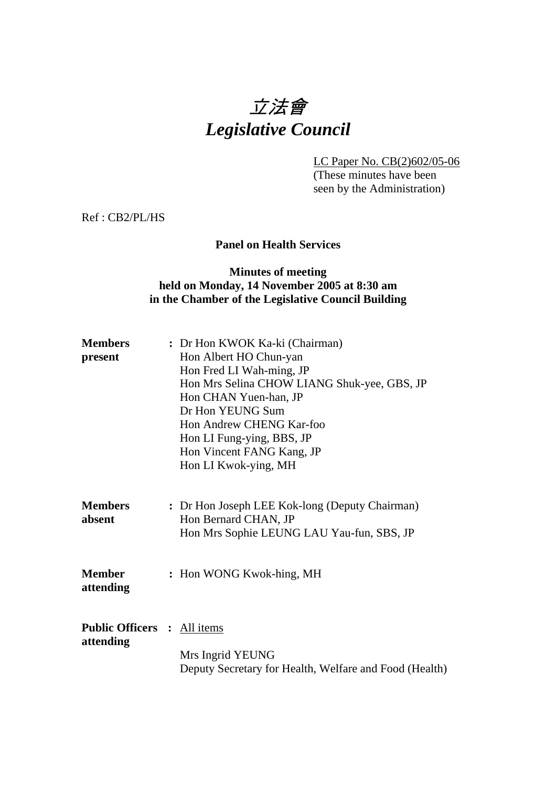# 立法會 *Legislative Council*

LC Paper No. CB(2)602/05-06

 (These minutes have been seen by the Administration)

Ref : CB2/PL/HS

## **Panel on Health Services**

## **Minutes of meeting held on Monday, 14 November 2005 at 8:30 am in the Chamber of the Legislative Council Building**

| <b>Members</b><br>present                       | : Dr Hon KWOK Ka-ki (Chairman)<br>Hon Albert HO Chun-yan<br>Hon Fred LI Wah-ming, JP<br>Hon Mrs Selina CHOW LIANG Shuk-yee, GBS, JP<br>Hon CHAN Yuen-han, JP<br>Dr Hon YEUNG Sum<br>Hon Andrew CHENG Kar-foo<br>Hon LI Fung-ying, BBS, JP<br>Hon Vincent FANG Kang, JP<br>Hon LI Kwok-ying, MH |
|-------------------------------------------------|------------------------------------------------------------------------------------------------------------------------------------------------------------------------------------------------------------------------------------------------------------------------------------------------|
| <b>Members</b><br>absent                        | : Dr Hon Joseph LEE Kok-long (Deputy Chairman)<br>Hon Bernard CHAN, JP<br>Hon Mrs Sophie LEUNG LAU Yau-fun, SBS, JP                                                                                                                                                                            |
| Member<br>attending                             | : Hon WONG Kwok-hing, MH                                                                                                                                                                                                                                                                       |
| <b>Public Officers : All items</b><br>attending | Mrs Ingrid YEUNG<br>Deputy Secretary for Health, Welfare and Food (Health)                                                                                                                                                                                                                     |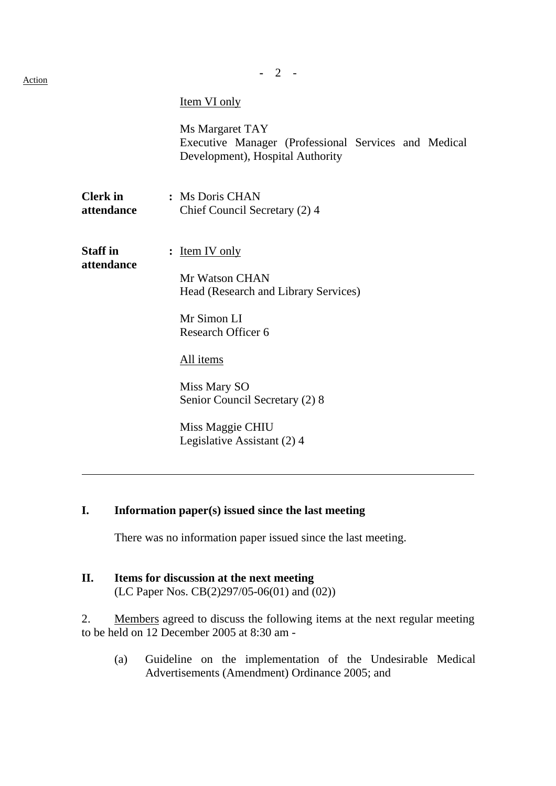### Item VI only

Ms Margaret TAY Executive Manager (Professional Services and Medical Development), Hospital Authority

**Clerk in :** Ms Doris CHAN **attendance** Chief Council Secretary (2) 4

**attendance**

**Staff in :** Item IV only

 Mr Watson CHAN Head (Research and Library Services)

 Mr Simon LI Research Officer 6

All items

 Miss Mary SO Senior Council Secretary (2) 8

 Miss Maggie CHIU Legislative Assistant (2) 4

## **I. Information paper(s) issued since the last meeting**

There was no information paper issued since the last meeting.

## **II. Items for discussion at the next meeting** (LC Paper Nos. CB(2)297/05-06(01) and (02))

2. Members agreed to discuss the following items at the next regular meeting to be held on 12 December 2005 at 8:30 am -

(a) Guideline on the implementation of the Undesirable Medical Advertisements (Amendment) Ordinance 2005; and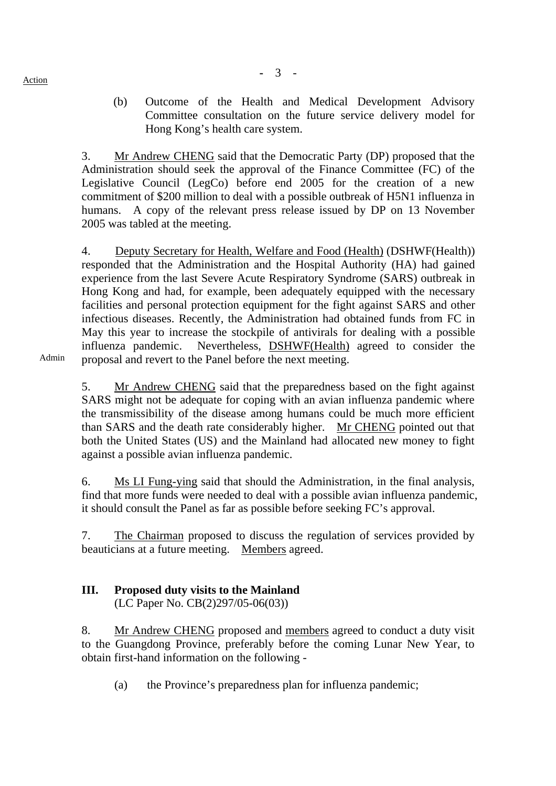(b) Outcome of the Health and Medical Development Advisory Committee consultation on the future service delivery model for Hong Kong's health care system.

3. Mr Andrew CHENG said that the Democratic Party (DP) proposed that the Administration should seek the approval of the Finance Committee (FC) of the Legislative Council (LegCo) before end 2005 for the creation of a new commitment of \$200 million to deal with a possible outbreak of H5N1 influenza in humans. A copy of the relevant press release issued by DP on 13 November 2005 was tabled at the meeting.

4. Deputy Secretary for Health, Welfare and Food (Health) (DSHWF(Health)) responded that the Administration and the Hospital Authority (HA) had gained experience from the last Severe Acute Respiratory Syndrome (SARS) outbreak in Hong Kong and had, for example, been adequately equipped with the necessary facilities and personal protection equipment for the fight against SARS and other infectious diseases. Recently, the Administration had obtained funds from FC in May this year to increase the stockpile of antivirals for dealing with a possible influenza pandemic. Nevertheless, DSHWF(Health) agreed to consider the proposal and revert to the Panel before the next meeting.

5. Mr Andrew CHENG said that the preparedness based on the fight against SARS might not be adequate for coping with an avian influenza pandemic where the transmissibility of the disease among humans could be much more efficient than SARS and the death rate considerably higher. Mr CHENG pointed out that both the United States (US) and the Mainland had allocated new money to fight against a possible avian influenza pandemic.

6. Ms LI Fung-ying said that should the Administration, in the final analysis, find that more funds were needed to deal with a possible avian influenza pandemic, it should consult the Panel as far as possible before seeking FC's approval.

7. The Chairman proposed to discuss the regulation of services provided by beauticians at a future meeting. Members agreed.

## **III. Proposed duty visits to the Mainland**

(LC Paper No. CB(2)297/05-06(03))

 8. Mr Andrew CHENG proposed and members agreed to conduct a duty visit to the Guangdong Province, preferably before the coming Lunar New Year, to obtain first-hand information on the following -

(a) the Province's preparedness plan for influenza pandemic;

Admin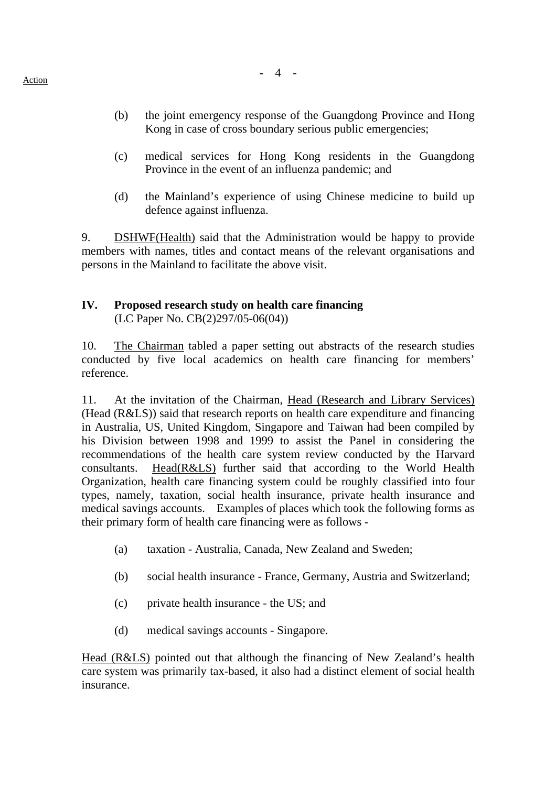- (b) the joint emergency response of the Guangdong Province and Hong Kong in case of cross boundary serious public emergencies;
- (c) medical services for Hong Kong residents in the Guangdong Province in the event of an influenza pandemic; and
- (d) the Mainland's experience of using Chinese medicine to build up defence against influenza.

 9. DSHWF(Health) said that the Administration would be happy to provide members with names, titles and contact means of the relevant organisations and persons in the Mainland to facilitate the above visit.

## **IV. Proposed research study on health care financing**  (LC Paper No. CB(2)297/05-06(04))

10. The Chairman tabled a paper setting out abstracts of the research studies conducted by five local academics on health care financing for members' reference.

11. At the invitation of the Chairman, Head (Research and Library Services) (Head (R&LS)) said that research reports on health care expenditure and financing in Australia, US, United Kingdom, Singapore and Taiwan had been compiled by his Division between 1998 and 1999 to assist the Panel in considering the recommendations of the health care system review conducted by the Harvard consultants. Head(R&LS) further said that according to the World Health Organization, health care financing system could be roughly classified into four types, namely, taxation, social health insurance, private health insurance and medical savings accounts. Examples of places which took the following forms as their primary form of health care financing were as follows -

- (a) taxation Australia, Canada, New Zealand and Sweden;
- (b) social health insurance France, Germany, Austria and Switzerland;
- (c) private health insurance the US; and
- (d) medical savings accounts Singapore.

Head (R&LS) pointed out that although the financing of New Zealand's health care system was primarily tax-based, it also had a distinct element of social health insurance.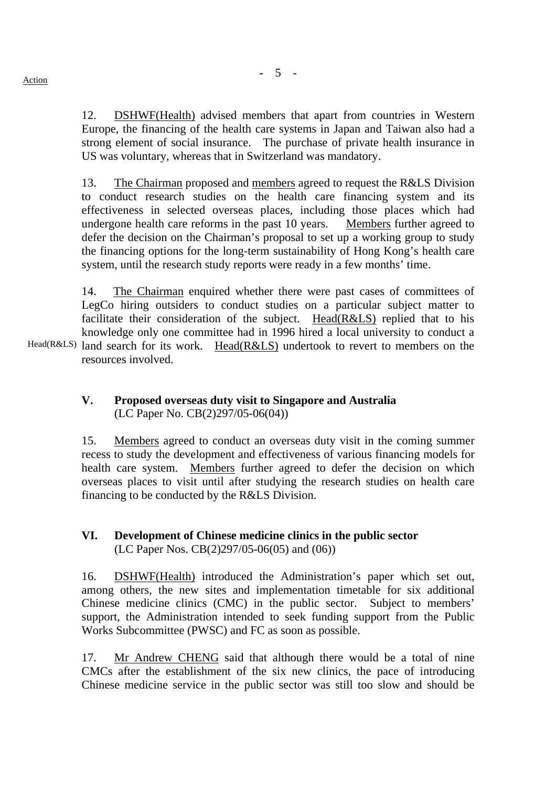12. DSHWF(Health) advised members that apart from countries in Western Europe, the financing of the health care systems in Japan and Taiwan also had a strong element of social insurance. The purchase of private health insurance in

13. The Chairman proposed and members agreed to request the R&LS Division to conduct research studies on the health care financing system and its effectiveness in selected overseas places, including those places which had undergone health care reforms in the past 10 years. Members further agreed to defer the decision on the Chairman's proposal to set up a working group to study the financing options for the long-term sustainability of Hong Kong's health care system, until the research study reports were ready in a few months' time.

14. The Chairman enquired whether there were past cases of committees of LegCo hiring outsiders to conduct studies on a particular subject matter to facilitate their consideration of the subject. Head(R&LS) replied that to his knowledge only one committee had in 1996 hired a local university to conduct a

Head(R&LS) land search for its work. Head(R&LS) undertook to revert to members on the resources involved.

US was voluntary, whereas that in Switzerland was mandatory.

## **V. Proposed overseas duty visit to Singapore and Australia** (LC Paper No. CB(2)297/05-06(04))

15. Members agreed to conduct an overseas duty visit in the coming summer recess to study the development and effectiveness of various financing models for health care system. Members further agreed to defer the decision on which overseas places to visit until after studying the research studies on health care financing to be conducted by the R&LS Division.

## **VI. Development of Chinese medicine clinics in the public sector** (LC Paper Nos. CB(2)297/05-06(05) and (06))

16. DSHWF(Health) introduced the Administration's paper which set out, among others, the new sites and implementation timetable for six additional Chinese medicine clinics (CMC) in the public sector. Subject to members' support, the Administration intended to seek funding support from the Public Works Subcommittee (PWSC) and FC as soon as possible.

17. Mr Andrew CHENG said that although there would be a total of nine CMCs after the establishment of the six new clinics, the pace of introducing Chinese medicine service in the public sector was still too slow and should be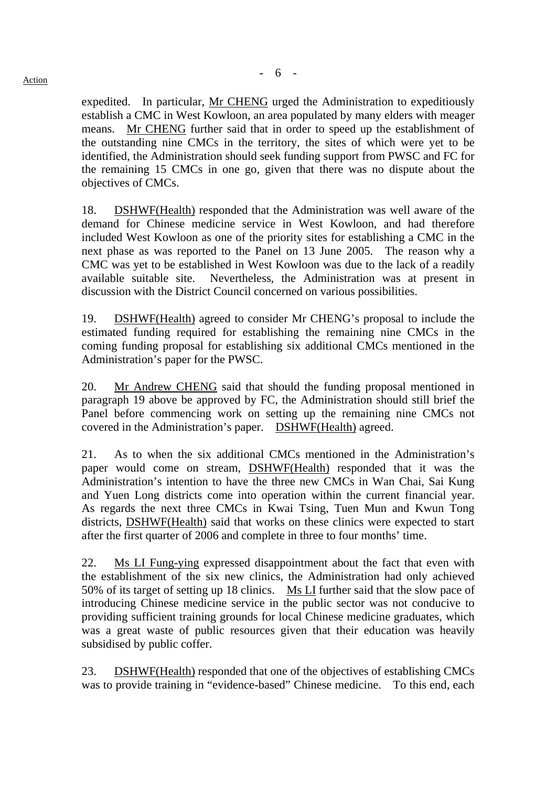expedited. In particular, Mr CHENG urged the Administration to expeditiously establish a CMC in West Kowloon, an area populated by many elders with meager means. Mr CHENG further said that in order to speed up the establishment of the outstanding nine CMCs in the territory, the sites of which were yet to be identified, the Administration should seek funding support from PWSC and FC for the remaining 15 CMCs in one go, given that there was no dispute about the objectives of CMCs.

18. DSHWF(Health) responded that the Administration was well aware of the demand for Chinese medicine service in West Kowloon, and had therefore included West Kowloon as one of the priority sites for establishing a CMC in the next phase as was reported to the Panel on 13 June 2005. The reason why a CMC was yet to be established in West Kowloon was due to the lack of a readily available suitable site. Nevertheless, the Administration was at present in discussion with the District Council concerned on various possibilities.

19. DSHWF(Health) agreed to consider Mr CHENG's proposal to include the estimated funding required for establishing the remaining nine CMCs in the coming funding proposal for establishing six additional CMCs mentioned in the Administration's paper for the PWSC.

20. Mr Andrew CHENG said that should the funding proposal mentioned in paragraph 19 above be approved by FC, the Administration should still brief the Panel before commencing work on setting up the remaining nine CMCs not covered in the Administration's paper. DSHWF(Health) agreed.

21. As to when the six additional CMCs mentioned in the Administration's paper would come on stream, DSHWF(Health) responded that it was the Administration's intention to have the three new CMCs in Wan Chai, Sai Kung and Yuen Long districts come into operation within the current financial year. As regards the next three CMCs in Kwai Tsing, Tuen Mun and Kwun Tong districts, DSHWF(Health) said that works on these clinics were expected to start after the first quarter of 2006 and complete in three to four months' time.

22. Ms LI Fung-ying expressed disappointment about the fact that even with the establishment of the six new clinics, the Administration had only achieved 50% of its target of setting up 18 clinics. Ms LI further said that the slow pace of introducing Chinese medicine service in the public sector was not conducive to providing sufficient training grounds for local Chinese medicine graduates, which was a great waste of public resources given that their education was heavily subsidised by public coffer.

23. DSHWF(Health) responded that one of the objectives of establishing CMCs was to provide training in "evidence-based" Chinese medicine. To this end, each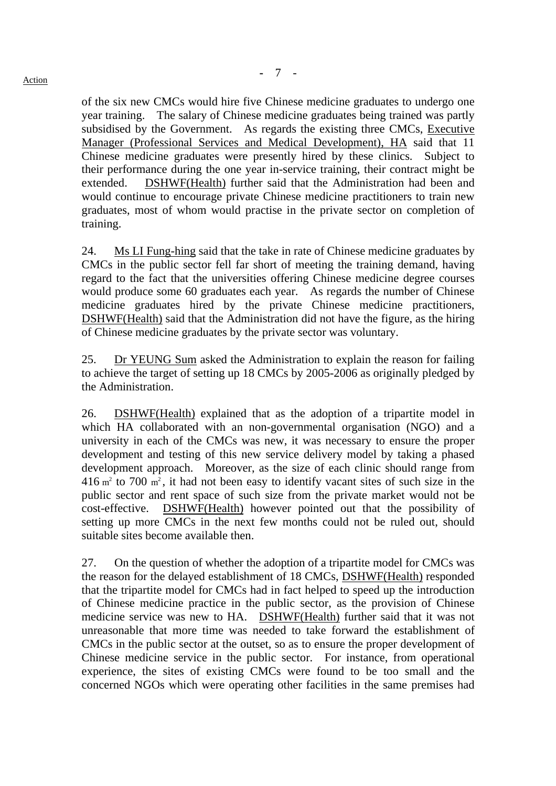of the six new CMCs would hire five Chinese medicine graduates to undergo one year training. The salary of Chinese medicine graduates being trained was partly subsidised by the Government. As regards the existing three CMCs, Executive Manager (Professional Services and Medical Development), HA said that 11 Chinese medicine graduates were presently hired by these clinics. Subject to their performance during the one year in-service training, their contract might be extended. DSHWF(Health) further said that the Administration had been and would continue to encourage private Chinese medicine practitioners to train new graduates, most of whom would practise in the private sector on completion of training.

24. Ms LI Fung-hing said that the take in rate of Chinese medicine graduates by CMCs in the public sector fell far short of meeting the training demand, having regard to the fact that the universities offering Chinese medicine degree courses would produce some 60 graduates each year. As regards the number of Chinese medicine graduates hired by the private Chinese medicine practitioners, DSHWF(Health) said that the Administration did not have the figure, as the hiring of Chinese medicine graduates by the private sector was voluntary.

25. Dr YEUNG Sum asked the Administration to explain the reason for failing to achieve the target of setting up 18 CMCs by 2005-2006 as originally pledged by the Administration.

26. DSHWF(Health) explained that as the adoption of a tripartite model in which HA collaborated with an non-governmental organisation (NGO) and a university in each of the CMCs was new, it was necessary to ensure the proper development and testing of this new service delivery model by taking a phased development approach. Moreover, as the size of each clinic should range from  $416 \text{ m}^2$  to 700 m<sup>2</sup>, it had not been easy to identify vacant sites of such size in the public sector and rent space of such size from the private market would not be cost-effective. DSHWF(Health) however pointed out that the possibility of setting up more CMCs in the next few months could not be ruled out, should suitable sites become available then.

27. On the question of whether the adoption of a tripartite model for CMCs was the reason for the delayed establishment of 18 CMCs, DSHWF(Health) responded that the tripartite model for CMCs had in fact helped to speed up the introduction of Chinese medicine practice in the public sector, as the provision of Chinese medicine service was new to HA. DSHWF(Health) further said that it was not unreasonable that more time was needed to take forward the establishment of CMCs in the public sector at the outset, so as to ensure the proper development of Chinese medicine service in the public sector. For instance, from operational experience, the sites of existing CMCs were found to be too small and the concerned NGOs which were operating other facilities in the same premises had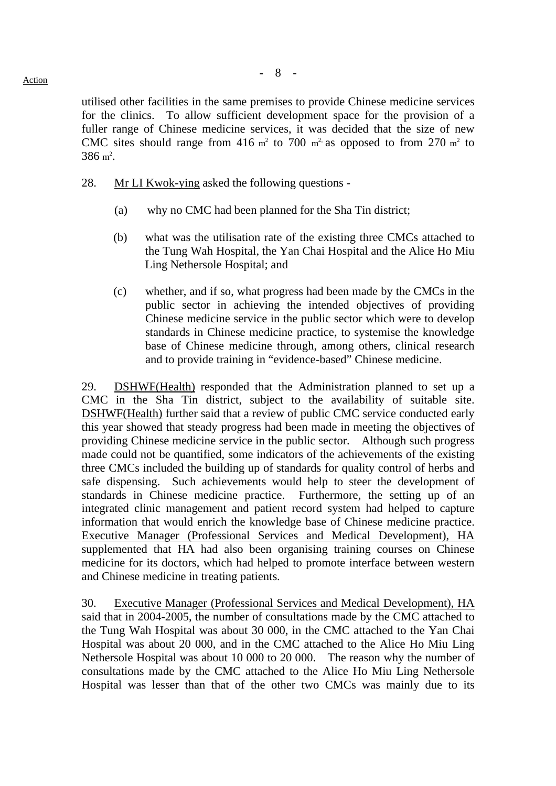utilised other facilities in the same premises to provide Chinese medicine services for the clinics. To allow sufficient development space for the provision of a fuller range of Chinese medicine services, it was decided that the size of new CMC sites should range from 416  $m^2$  to 700  $m^2$  as opposed to from 270  $m^2$  to  $386 \text{ m}^2$ .

- 28. Mr LI Kwok-ying asked the following questions
	- (a) why no CMC had been planned for the Sha Tin district;
	- (b) what was the utilisation rate of the existing three CMCs attached to the Tung Wah Hospital, the Yan Chai Hospital and the Alice Ho Miu Ling Nethersole Hospital; and
	- (c) whether, and if so, what progress had been made by the CMCs in the public sector in achieving the intended objectives of providing Chinese medicine service in the public sector which were to develop standards in Chinese medicine practice, to systemise the knowledge base of Chinese medicine through, among others, clinical research and to provide training in "evidence-based" Chinese medicine.

29. DSHWF(Health) responded that the Administration planned to set up a CMC in the Sha Tin district, subject to the availability of suitable site. DSHWF(Health) further said that a review of public CMC service conducted early this year showed that steady progress had been made in meeting the objectives of providing Chinese medicine service in the public sector. Although such progress made could not be quantified, some indicators of the achievements of the existing three CMCs included the building up of standards for quality control of herbs and safe dispensing. Such achievements would help to steer the development of standards in Chinese medicine practice. Furthermore, the setting up of an integrated clinic management and patient record system had helped to capture information that would enrich the knowledge base of Chinese medicine practice. Executive Manager (Professional Services and Medical Development), HA supplemented that HA had also been organising training courses on Chinese medicine for its doctors, which had helped to promote interface between western and Chinese medicine in treating patients.

30. Executive Manager (Professional Services and Medical Development), HA said that in 2004-2005, the number of consultations made by the CMC attached to the Tung Wah Hospital was about 30 000, in the CMC attached to the Yan Chai Hospital was about 20 000, and in the CMC attached to the Alice Ho Miu Ling Nethersole Hospital was about 10 000 to 20 000. The reason why the number of consultations made by the CMC attached to the Alice Ho Miu Ling Nethersole Hospital was lesser than that of the other two CMCs was mainly due to its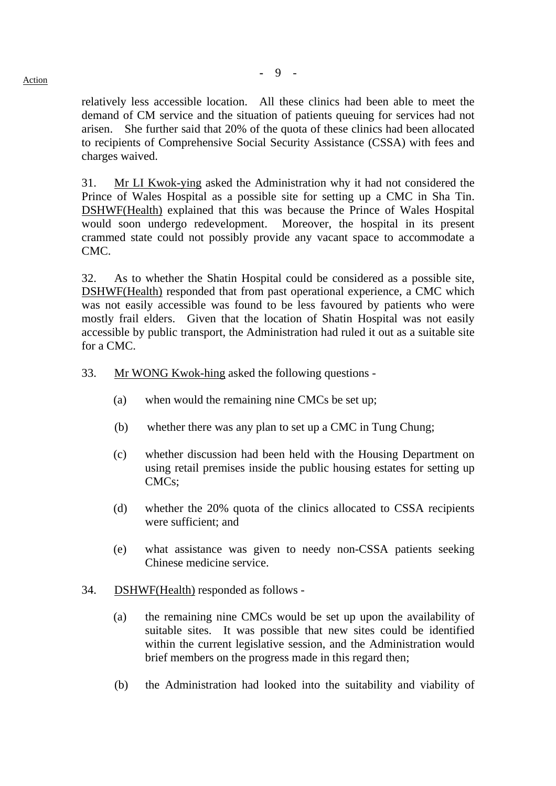relatively less accessible location. All these clinics had been able to meet the demand of CM service and the situation of patients queuing for services had not arisen. She further said that 20% of the quota of these clinics had been allocated to recipients of Comprehensive Social Security Assistance (CSSA) with fees and charges waived.

31. Mr LI Kwok-ying asked the Administration why it had not considered the Prince of Wales Hospital as a possible site for setting up a CMC in Sha Tin. DSHWF(Health) explained that this was because the Prince of Wales Hospital would soon undergo redevelopment. Moreover, the hospital in its present crammed state could not possibly provide any vacant space to accommodate a CMC.

32. As to whether the Shatin Hospital could be considered as a possible site, DSHWF(Health) responded that from past operational experience, a CMC which was not easily accessible was found to be less favoured by patients who were mostly frail elders. Given that the location of Shatin Hospital was not easily accessible by public transport, the Administration had ruled it out as a suitable site for a CMC.

- 33. Mr WONG Kwok-hing asked the following questions
	- (a) when would the remaining nine CMCs be set up;
	- (b) whether there was any plan to set up a CMC in Tung Chung;
	- (c) whether discussion had been held with the Housing Department on using retail premises inside the public housing estates for setting up CMCs;
	- (d) whether the 20% quota of the clinics allocated to CSSA recipients were sufficient; and
	- (e) what assistance was given to needy non-CSSA patients seeking Chinese medicine service.
- 34. DSHWF(Health) responded as follows
	- (a) the remaining nine CMCs would be set up upon the availability of suitable sites. It was possible that new sites could be identified within the current legislative session, and the Administration would brief members on the progress made in this regard then;
	- (b) the Administration had looked into the suitability and viability of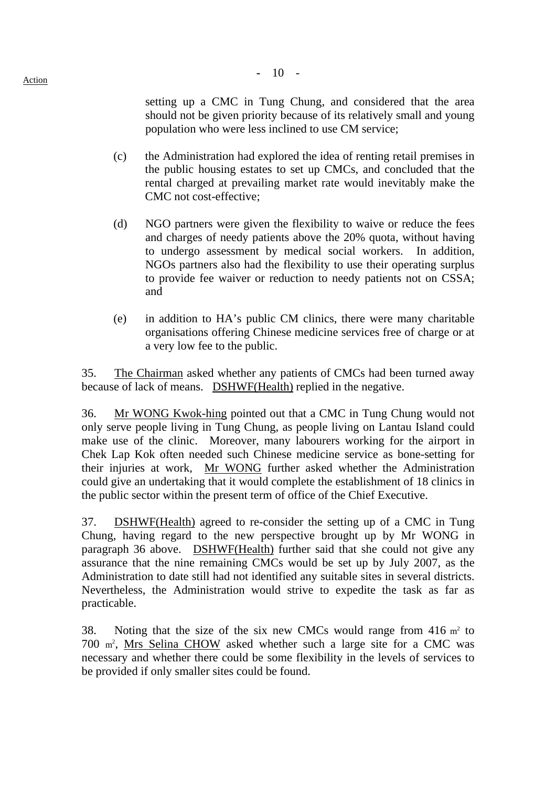setting up a CMC in Tung Chung, and considered that the area should not be given priority because of its relatively small and young population who were less inclined to use CM service;

- (c) the Administration had explored the idea of renting retail premises in the public housing estates to set up CMCs, and concluded that the rental charged at prevailing market rate would inevitably make the CMC not cost-effective;
- (d) NGO partners were given the flexibility to waive or reduce the fees and charges of needy patients above the 20% quota, without having to undergo assessment by medical social workers. In addition, NGOs partners also had the flexibility to use their operating surplus to provide fee waiver or reduction to needy patients not on CSSA; and
- (e) in addition to HA's public CM clinics, there were many charitable organisations offering Chinese medicine services free of charge or at a very low fee to the public.

35. The Chairman asked whether any patients of CMCs had been turned away because of lack of means. DSHWF(Health) replied in the negative.

36. Mr WONG Kwok-hing pointed out that a CMC in Tung Chung would not only serve people living in Tung Chung, as people living on Lantau Island could make use of the clinic. Moreover, many labourers working for the airport in Chek Lap Kok often needed such Chinese medicine service as bone-setting for their injuries at work, Mr WONG further asked whether the Administration could give an undertaking that it would complete the establishment of 18 clinics in the public sector within the present term of office of the Chief Executive.

37. DSHWF(Health) agreed to re-consider the setting up of a CMC in Tung Chung, having regard to the new perspective brought up by Mr WONG in paragraph 36 above. DSHWF(Health) further said that she could not give any assurance that the nine remaining CMCs would be set up by July 2007, as the Administration to date still had not identified any suitable sites in several districts. Nevertheless, the Administration would strive to expedite the task as far as practicable.

38. Noting that the size of the six new CMCs would range from  $416 \text{ m}^2$  to 700 m<sup>2</sup>, Mrs Selina CHOW asked whether such a large site for a CMC was necessary and whether there could be some flexibility in the levels of services to be provided if only smaller sites could be found.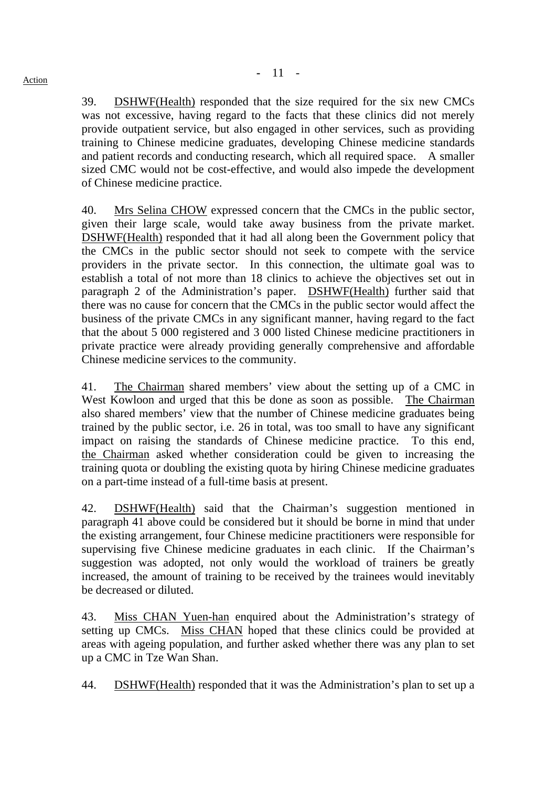39. DSHWF(Health) responded that the size required for the six new CMCs was not excessive, having regard to the facts that these clinics did not merely provide outpatient service, but also engaged in other services, such as providing training to Chinese medicine graduates, developing Chinese medicine standards and patient records and conducting research, which all required space. A smaller sized CMC would not be cost-effective, and would also impede the development of Chinese medicine practice.

40. Mrs Selina CHOW expressed concern that the CMCs in the public sector, given their large scale, would take away business from the private market. DSHWF(Health) responded that it had all along been the Government policy that the CMCs in the public sector should not seek to compete with the service providers in the private sector. In this connection, the ultimate goal was to establish a total of not more than 18 clinics to achieve the objectives set out in paragraph 2 of the Administration's paper. DSHWF(Health) further said that there was no cause for concern that the CMCs in the public sector would affect the business of the private CMCs in any significant manner, having regard to the fact that the about 5 000 registered and 3 000 listed Chinese medicine practitioners in private practice were already providing generally comprehensive and affordable Chinese medicine services to the community.

41. The Chairman shared members' view about the setting up of a CMC in West Kowloon and urged that this be done as soon as possible. The Chairman also shared members' view that the number of Chinese medicine graduates being trained by the public sector, i.e. 26 in total, was too small to have any significant impact on raising the standards of Chinese medicine practice. To this end, the Chairman asked whether consideration could be given to increasing the training quota or doubling the existing quota by hiring Chinese medicine graduates on a part-time instead of a full-time basis at present.

42. DSHWF(Health) said that the Chairman's suggestion mentioned in paragraph 41 above could be considered but it should be borne in mind that under the existing arrangement, four Chinese medicine practitioners were responsible for supervising five Chinese medicine graduates in each clinic. If the Chairman's suggestion was adopted, not only would the workload of trainers be greatly increased, the amount of training to be received by the trainees would inevitably be decreased or diluted.

43. Miss CHAN Yuen-han enquired about the Administration's strategy of setting up CMCs. Miss CHAN hoped that these clinics could be provided at areas with ageing population, and further asked whether there was any plan to set up a CMC in Tze Wan Shan.

44. DSHWF(Health) responded that it was the Administration's plan to set up a